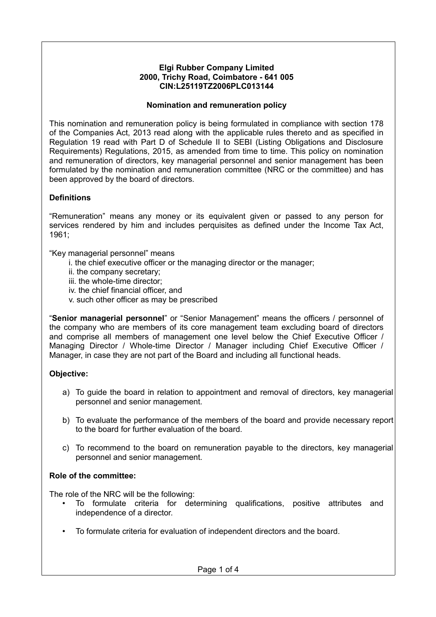### **Elgi Rubber Company Limited 2000, Trichy Road, Coimbatore - 641 005 CIN:L25119TZ2006PLC013144**

### **Nomination and remuneration policy**

This nomination and remuneration policy is being formulated in compliance with section 178 of the Companies Act, 2013 read along with the applicable rules thereto and as specified in Regulation 19 read with Part D of Schedule II to SEBI (Listing Obligations and Disclosure Requirements) Regulations, 2015, as amended from time to time. This policy on nomination and remuneration of directors, key managerial personnel and senior management has been formulated by the nomination and remuneration committee (NRC or the committee) and has been approved by the board of directors.

# **Definitions**

"Remuneration" means any money or its equivalent given or passed to any person for services rendered by him and includes perquisites as defined under the Income Tax Act, 1961;

"Key managerial personnel" means

- i. the chief executive officer or the managing director or the manager;
- ii. the company secretary;
- iii. the whole-time director;
- iv. the chief financial officer, and
- v. such other officer as may be prescribed

"**Senior managerial personnel**" or "Senior Management" means the officers / personnel of the company who are members of its core management team excluding board of directors and comprise all members of management one level below the Chief Executive Officer / Managing Director / Whole-time Director / Manager including Chief Executive Officer / Manager, in case they are not part of the Board and including all functional heads.

# **Objective:**

- a) To guide the board in relation to appointment and removal of directors, key managerial personnel and senior management.
- b) To evaluate the performance of the members of the board and provide necessary report to the board for further evaluation of the board.
- c) To recommend to the board on remuneration payable to the directors, key managerial personnel and senior management.

# **Role of the committee:**

The role of the NRC will be the following:

- To formulate criteria for determining qualifications, positive attributes and independence of a director.
- To formulate criteria for evaluation of independent directors and the board.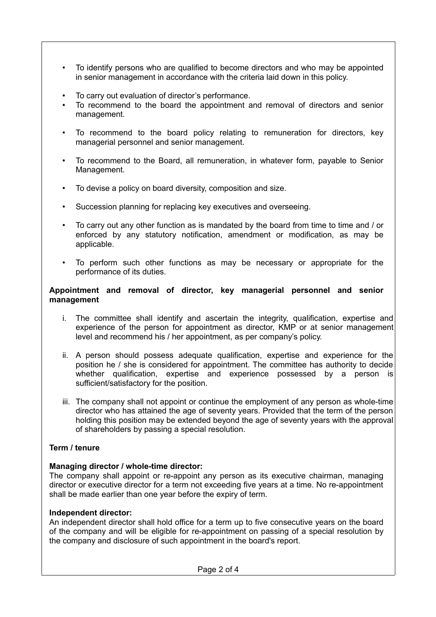- To identify persons who are qualified to become directors and who may be appointed in senior management in accordance with the criteria laid down in this policy.
- To carry out evaluation of director's performance.
- To recommend to the board the appointment and removal of directors and senior management.
- To recommend to the board policy relating to remuneration for directors, key managerial personnel and senior management.
- To recommend to the Board, all remuneration, in whatever form, payable to Senior Management.
- To devise a policy on board diversity, composition and size.
- Succession planning for replacing key executives and overseeing.
- To carry out any other function as is mandated by the board from time to time and / or enforced by any statutory notification, amendment or modification, as may be applicable.
- To perform such other functions as may be necessary or appropriate for the performance of its duties.

#### **Appointment and removal of director, key managerial personnel and senior management**

- i. The committee shall identify and ascertain the integrity, qualification, expertise and experience of the person for appointment as director, KMP or at senior management level and recommend his / her appointment, as per company's policy.
- ii. A person should possess adequate qualification, expertise and experience for the position he / she is considered for appointment. The committee has authority to decide whether qualification, expertise and experience possessed by a person is sufficient/satisfactory for the position.
- iii. The company shall not appoint or continue the employment of any person as whole-time director who has attained the age of seventy years. Provided that the term of the person holding this position may be extended beyond the age of seventy years with the approval of shareholders by passing a special resolution.

### **Term / tenure**

### **Managing director / whole-time director:**

The company shall appoint or re-appoint any person as its executive chairman, managing director or executive director for a term not exceeding five years at a time. No re-appointment shall be made earlier than one year before the expiry of term.

### **Independent director:**

An independent director shall hold office for a term up to five consecutive years on the board of the company and will be eligible for re-appointment on passing of a special resolution by the company and disclosure of such appointment in the board's report.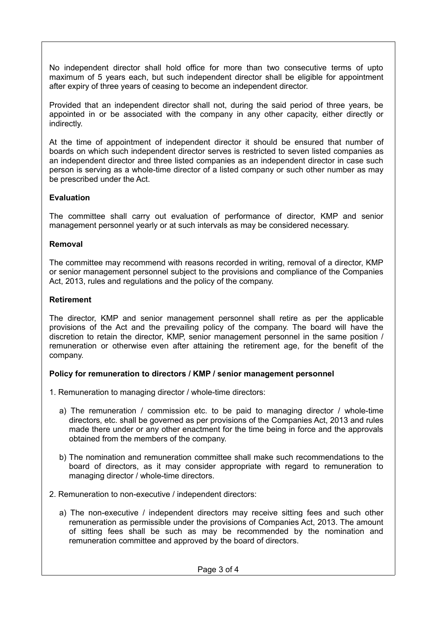No independent director shall hold office for more than two consecutive terms of upto maximum of 5 years each, but such independent director shall be eligible for appointment after expiry of three years of ceasing to become an independent director.

Provided that an independent director shall not, during the said period of three years, be appointed in or be associated with the company in any other capacity, either directly or indirectly.

At the time of appointment of independent director it should be ensured that number of boards on which such independent director serves is restricted to seven listed companies as an independent director and three listed companies as an independent director in case such person is serving as a whole-time director of a listed company or such other number as may be prescribed under the Act.

### **Evaluation**

The committee shall carry out evaluation of performance of director, KMP and senior management personnel yearly or at such intervals as may be considered necessary.

### **Removal**

The committee may recommend with reasons recorded in writing, removal of a director, KMP or senior management personnel subject to the provisions and compliance of the Companies Act, 2013, rules and regulations and the policy of the company.

### **Retirement**

The director, KMP and senior management personnel shall retire as per the applicable provisions of the Act and the prevailing policy of the company. The board will have the discretion to retain the director, KMP, senior management personnel in the same position / remuneration or otherwise even after attaining the retirement age, for the benefit of the company.

### **Policy for remuneration to directors / KMP / senior management personnel**

- 1. Remuneration to managing director / whole-time directors:
	- a) The remuneration / commission etc. to be paid to managing director / whole-time directors, etc. shall be governed as per provisions of the Companies Act, 2013 and rules made there under or any other enactment for the time being in force and the approvals obtained from the members of the company.
	- b) The nomination and remuneration committee shall make such recommendations to the board of directors, as it may consider appropriate with regard to remuneration to managing director / whole-time directors.
- 2. Remuneration to non-executive / independent directors:
	- a) The non-executive / independent directors may receive sitting fees and such other remuneration as permissible under the provisions of Companies Act, 2013. The amount of sitting fees shall be such as may be recommended by the nomination and remuneration committee and approved by the board of directors.